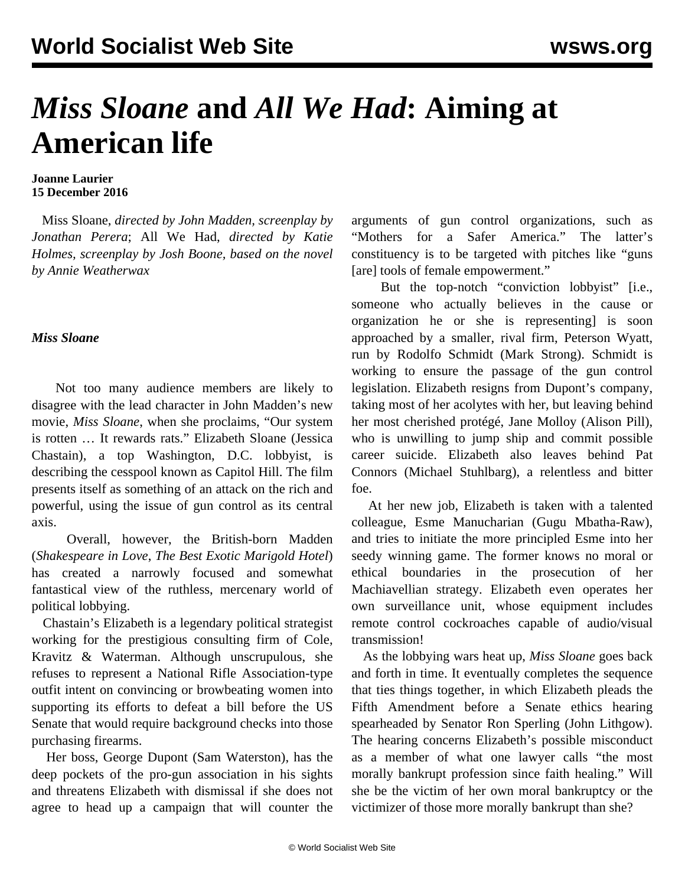## *Miss Sloane* **and** *All We Had***: Aiming at American life**

## **Joanne Laurier 15 December 2016**

 Miss Sloane, *directed by John Madden, screenplay by Jonathan Perera*; All We Had, *directed by Katie Holmes, screenplay by Josh Boone, based on the novel by Annie Weatherwax*

## *Miss Sloane*

 Not too many audience members are likely to disagree with the lead character in John Madden's new movie, *Miss Sloane*, when she proclaims, "Our system is rotten … It rewards rats." Elizabeth Sloane (Jessica Chastain), a top Washington, D.C. lobbyist, is describing the cesspool known as Capitol Hill. The film presents itself as something of an attack on the rich and powerful, using the issue of gun control as its central axis.

 Overall, however, the British-born Madden (*Shakespeare in Love*, *The Best Exotic Marigold Hotel*) has created a narrowly focused and somewhat fantastical view of the ruthless, mercenary world of political lobbying.

 Chastain's Elizabeth is a legendary political strategist working for the prestigious consulting firm of Cole, Kravitz & Waterman. Although unscrupulous, she refuses to represent a National Rifle Association-type outfit intent on convincing or browbeating women into supporting its efforts to defeat a bill before the US Senate that would require background checks into those purchasing firearms.

 Her boss, George Dupont (Sam Waterston), has the deep pockets of the pro-gun association in his sights and threatens Elizabeth with dismissal if she does not agree to head up a campaign that will counter the

arguments of gun control organizations, such as "Mothers for a Safer America." The latter's constituency is to be targeted with pitches like "guns [are] tools of female empowerment."

 But the top-notch "conviction lobbyist" [i.e., someone who actually believes in the cause or organization he or she is representing] is soon approached by a smaller, rival firm, Peterson Wyatt, run by Rodolfo Schmidt (Mark Strong). Schmidt is working to ensure the passage of the gun control legislation. Elizabeth resigns from Dupont's company, taking most of her acolytes with her, but leaving behind her most cherished protégé, Jane Molloy (Alison Pill), who is unwilling to jump ship and commit possible career suicide. Elizabeth also leaves behind Pat Connors (Michael Stuhlbarg), a relentless and bitter foe.

 At her new job, Elizabeth is taken with a talented colleague, Esme Manucharian (Gugu Mbatha-Raw), and tries to initiate the more principled Esme into her seedy winning game. The former knows no moral or ethical boundaries in the prosecution of her Machiavellian strategy. Elizabeth even operates her own surveillance unit, whose equipment includes remote control cockroaches capable of audio/visual transmission!

 As the lobbying wars heat up, *Miss Sloane* goes back and forth in time. It eventually completes the sequence that ties things together, in which Elizabeth pleads the Fifth Amendment before a Senate ethics hearing spearheaded by Senator Ron Sperling (John Lithgow). The hearing concerns Elizabeth's possible misconduct as a member of what one lawyer calls "the most morally bankrupt profession since faith healing." Will she be the victim of her own moral bankruptcy or the victimizer of those more morally bankrupt than she?